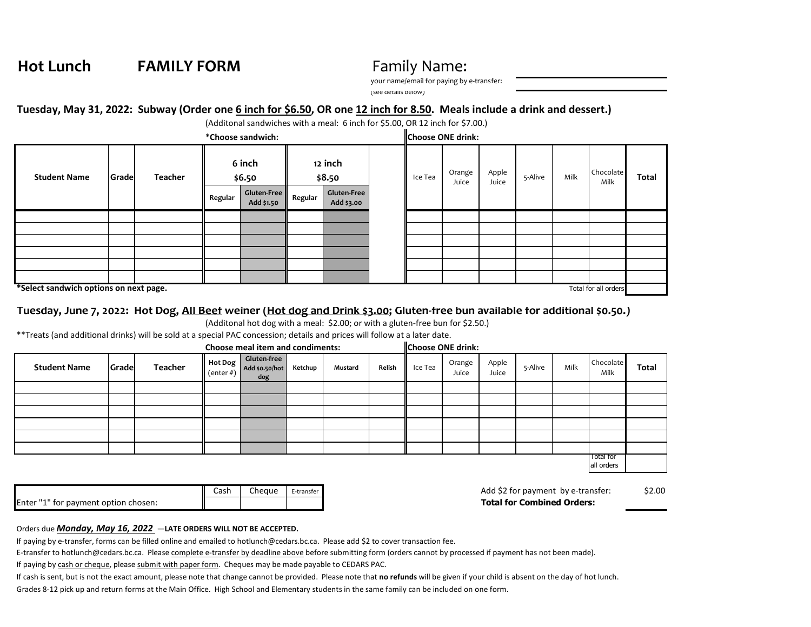**Hot Lunch FAMILY FORM** Family Name:

your name/email for paying by e-transfer:

(see details below)

## **Tuesday, May 31, 2022: Subway (Order one 6 inch for \$6.50, OR one 12 inch for 8.50. Meals include a drink and dessert.)**

(Additonal sandwiches with a meal: 6 inch for \$5.00, OR 12 inch for \$7.00.)

| *Choose sandwich:                                              |        |                |                  |                           |                   |                                  | <b>Choose ONE drink:</b> |         |                 |                |         |      |                   |       |
|----------------------------------------------------------------|--------|----------------|------------------|---------------------------|-------------------|----------------------------------|--------------------------|---------|-----------------|----------------|---------|------|-------------------|-------|
| <b>Student Name</b>                                            | Gradel | <b>Teacher</b> | 6 inch<br>\$6.50 |                           | 12 inch<br>\$8.50 |                                  |                          | Ice Tea | Orange<br>Juice | Apple<br>Juice | 5-Alive | Milk | Chocolate<br>Milk | Total |
|                                                                |        |                | Regular          | Gluten-Free<br>Add \$1.50 | Regular           | <b>Gluten-Free</b><br>Add \$3.00 |                          |         |                 |                |         |      |                   |       |
|                                                                |        |                |                  |                           |                   |                                  |                          |         |                 |                |         |      |                   |       |
|                                                                |        |                |                  |                           |                   |                                  |                          |         |                 |                |         |      |                   |       |
|                                                                |        |                |                  |                           |                   |                                  |                          |         |                 |                |         |      |                   |       |
|                                                                |        |                |                  |                           |                   |                                  |                          |         |                 |                |         |      |                   |       |
|                                                                |        |                |                  |                           |                   |                                  |                          |         |                 |                |         |      |                   |       |
|                                                                |        |                |                  |                           |                   |                                  |                          |         |                 |                |         |      |                   |       |
| *Select sandwich options on next page.<br>Total for all orders |        |                |                  |                           |                   |                                  |                          |         |                 |                |         |      |                   |       |

## **Tuesday, June 7, 2022: Hot Dog, All Beef weiner (Hot dog and Drink \$3.00; Gluten-free bun available for additional \$0.50.)**

(Additonal hot dog with a meal: \$2.00; or with a gluten-free bun for \$2.50.)

\*\*Treats (and additional drinks) will be sold at a special PAC concession; details and prices will follow at a later date.

| Choose meal item and condiments: |       |         |  |                                                                       |         | <b>Choose ONE drink:</b> |        |         |                 |                |         |      |                                |       |
|----------------------------------|-------|---------|--|-----------------------------------------------------------------------|---------|--------------------------|--------|---------|-----------------|----------------|---------|------|--------------------------------|-------|
| <b>Student Name</b>              | Grade | Teacher |  | Gluten-free<br>Hot Dog diuten-free<br>(enter #) Add \$0.50/hot<br>dog | Ketchup | Mustard                  | Relish | Ice Tea | Orange<br>Juice | Apple<br>Juice | 5-Alive | Milk | Chocolate<br>Milk              | Total |
|                                  |       |         |  |                                                                       |         |                          |        |         |                 |                |         |      |                                |       |
|                                  |       |         |  |                                                                       |         |                          |        |         |                 |                |         |      |                                |       |
|                                  |       |         |  |                                                                       |         |                          |        |         |                 |                |         |      |                                |       |
|                                  |       |         |  |                                                                       |         |                          |        |         |                 |                |         |      |                                |       |
|                                  |       |         |  |                                                                       |         |                          |        |         |                 |                |         |      |                                |       |
|                                  |       |         |  |                                                                       |         |                          |        |         |                 |                |         |      |                                |       |
|                                  |       |         |  |                                                                       |         |                          |        |         |                 |                |         |      | <b>Total for</b><br>all orders |       |

|                                      | Cash | Cheaue | E-transfer |
|--------------------------------------|------|--------|------------|
| Enter "1" for payment option chosen: |      |        |            |

Add \$2 for payment by e-transfer: \$2.00 **Total for Combined Orders:** 

## Orders due *Monday, May 16, 2022* —**LATE ORDERS WILL NOT BE ACCEPTED.**

If paying by e-transfer, forms can be filled online and emailed to hotlunch@cedars.bc.ca. Please add \$2 to cover transaction fee.

E-transfer to hotlunch@cedars.bc.ca. Please complete e-transfer by deadline above before submitting form (orders cannot by processed if payment has not been made).

If paying by cash or cheque, please submit with paper form. Cheques may be made payable to CEDARS PAC.

If cash is sent, but is not the exact amount, please note that change cannot be provided. Please note that **no refunds** will be given if your child is absent on the day of hot lunch.

Grades 8-12 pick up and return forms at the Main Office. High School and Elementary students in the same family can be included on one form.